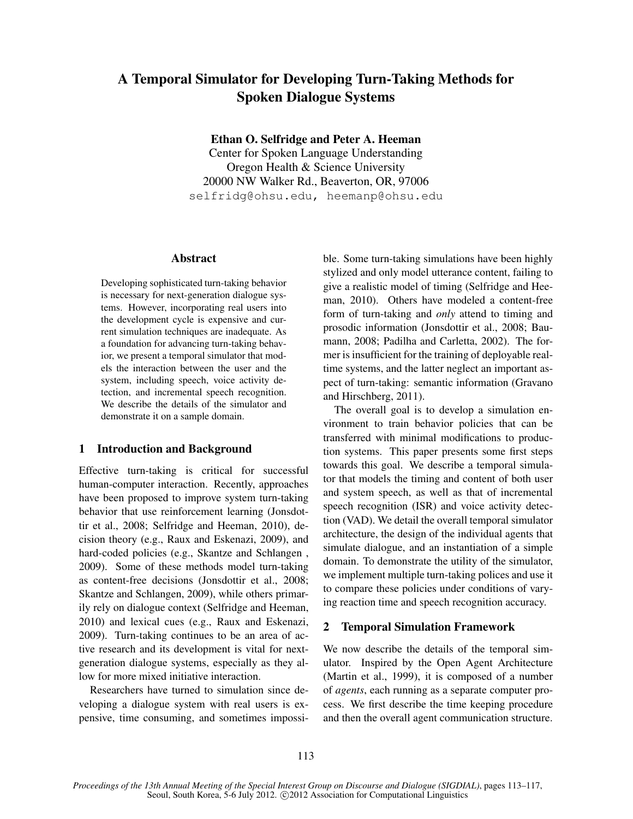# A Temporal Simulator for Developing Turn-Taking Methods for Spoken Dialogue Systems

Ethan O. Selfridge and Peter A. Heeman

Center for Spoken Language Understanding Oregon Health & Science University 20000 NW Walker Rd., Beaverton, OR, 97006 selfridg@ohsu.edu, heemanp@ohsu.edu

#### Abstract

Developing sophisticated turn-taking behavior is necessary for next-generation dialogue systems. However, incorporating real users into the development cycle is expensive and current simulation techniques are inadequate. As a foundation for advancing turn-taking behavior, we present a temporal simulator that models the interaction between the user and the system, including speech, voice activity detection, and incremental speech recognition. We describe the details of the simulator and demonstrate it on a sample domain.

# 1 Introduction and Background

Effective turn-taking is critical for successful human-computer interaction. Recently, approaches have been proposed to improve system turn-taking behavior that use reinforcement learning (Jonsdottir et al., 2008; Selfridge and Heeman, 2010), decision theory (e.g., Raux and Eskenazi, 2009), and hard-coded policies (e.g., Skantze and Schlangen , 2009). Some of these methods model turn-taking as content-free decisions (Jonsdottir et al., 2008; Skantze and Schlangen, 2009), while others primarily rely on dialogue context (Selfridge and Heeman, 2010) and lexical cues (e.g., Raux and Eskenazi, 2009). Turn-taking continues to be an area of active research and its development is vital for nextgeneration dialogue systems, especially as they allow for more mixed initiative interaction.

Researchers have turned to simulation since developing a dialogue system with real users is expensive, time consuming, and sometimes impossible. Some turn-taking simulations have been highly stylized and only model utterance content, failing to give a realistic model of timing (Selfridge and Heeman, 2010). Others have modeled a content-free form of turn-taking and *only* attend to timing and prosodic information (Jonsdottir et al., 2008; Baumann, 2008; Padilha and Carletta, 2002). The former is insufficient for the training of deployable realtime systems, and the latter neglect an important aspect of turn-taking: semantic information (Gravano and Hirschberg, 2011).

The overall goal is to develop a simulation environment to train behavior policies that can be transferred with minimal modifications to production systems. This paper presents some first steps towards this goal. We describe a temporal simulator that models the timing and content of both user and system speech, as well as that of incremental speech recognition (ISR) and voice activity detection (VAD). We detail the overall temporal simulator architecture, the design of the individual agents that simulate dialogue, and an instantiation of a simple domain. To demonstrate the utility of the simulator, we implement multiple turn-taking polices and use it to compare these policies under conditions of varying reaction time and speech recognition accuracy.

## 2 Temporal Simulation Framework

We now describe the details of the temporal simulator. Inspired by the Open Agent Architecture (Martin et al., 1999), it is composed of a number of *agents*, each running as a separate computer process. We first describe the time keeping procedure and then the overall agent communication structure.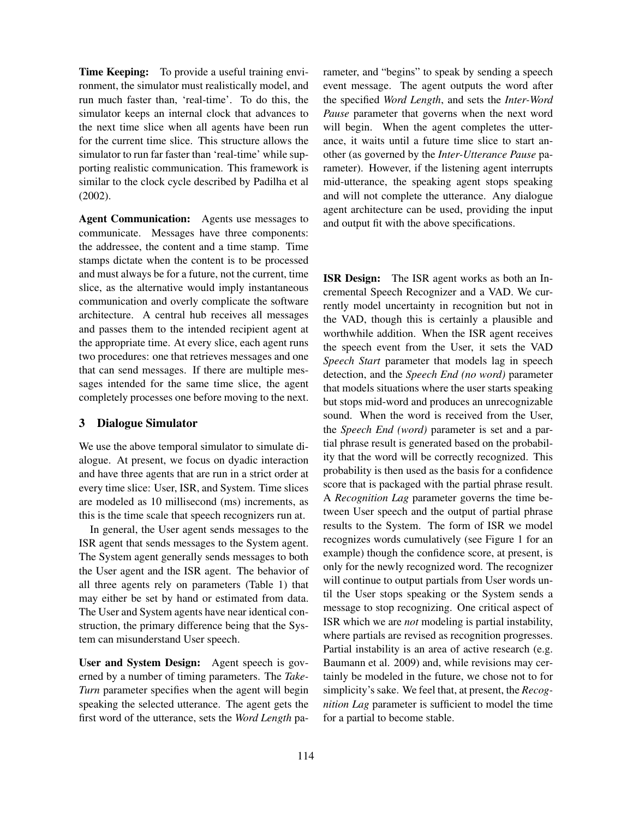Time Keeping: To provide a useful training environment, the simulator must realistically model, and run much faster than, 'real-time'. To do this, the simulator keeps an internal clock that advances to the next time slice when all agents have been run for the current time slice. This structure allows the simulator to run far faster than 'real-time' while supporting realistic communication. This framework is similar to the clock cycle described by Padilha et al (2002).

Agent Communication: Agents use messages to communicate. Messages have three components: the addressee, the content and a time stamp. Time stamps dictate when the content is to be processed and must always be for a future, not the current, time slice, as the alternative would imply instantaneous communication and overly complicate the software architecture. A central hub receives all messages and passes them to the intended recipient agent at the appropriate time. At every slice, each agent runs two procedures: one that retrieves messages and one that can send messages. If there are multiple messages intended for the same time slice, the agent completely processes one before moving to the next.

### 3 Dialogue Simulator

We use the above temporal simulator to simulate dialogue. At present, we focus on dyadic interaction and have three agents that are run in a strict order at every time slice: User, ISR, and System. Time slices are modeled as 10 millisecond (ms) increments, as this is the time scale that speech recognizers run at.

In general, the User agent sends messages to the ISR agent that sends messages to the System agent. The System agent generally sends messages to both the User agent and the ISR agent. The behavior of all three agents rely on parameters (Table 1) that may either be set by hand or estimated from data. The User and System agents have near identical construction, the primary difference being that the System can misunderstand User speech.

User and System Design: Agent speech is governed by a number of timing parameters. The *Take-Turn* parameter specifies when the agent will begin speaking the selected utterance. The agent gets the first word of the utterance, sets the *Word Length* parameter, and "begins" to speak by sending a speech event message. The agent outputs the word after the specified *Word Length*, and sets the *Inter-Word Pause* parameter that governs when the next word will begin. When the agent completes the utterance, it waits until a future time slice to start another (as governed by the *Inter-Utterance Pause* parameter). However, if the listening agent interrupts mid-utterance, the speaking agent stops speaking and will not complete the utterance. Any dialogue agent architecture can be used, providing the input and output fit with the above specifications.

ISR Design: The ISR agent works as both an Incremental Speech Recognizer and a VAD. We currently model uncertainty in recognition but not in the VAD, though this is certainly a plausible and worthwhile addition. When the ISR agent receives the speech event from the User, it sets the VAD *Speech Start* parameter that models lag in speech detection, and the *Speech End (no word)* parameter that models situations where the user starts speaking but stops mid-word and produces an unrecognizable sound. When the word is received from the User, the *Speech End (word)* parameter is set and a partial phrase result is generated based on the probability that the word will be correctly recognized. This probability is then used as the basis for a confidence score that is packaged with the partial phrase result. A *Recognition Lag* parameter governs the time between User speech and the output of partial phrase results to the System. The form of ISR we model recognizes words cumulatively (see Figure 1 for an example) though the confidence score, at present, is only for the newly recognized word. The recognizer will continue to output partials from User words until the User stops speaking or the System sends a message to stop recognizing. One critical aspect of ISR which we are *not* modeling is partial instability, where partials are revised as recognition progresses. Partial instability is an area of active research (e.g. Baumann et al. 2009) and, while revisions may certainly be modeled in the future, we chose not to for simplicity's sake. We feel that, at present, the *Recognition Lag* parameter is sufficient to model the time for a partial to become stable.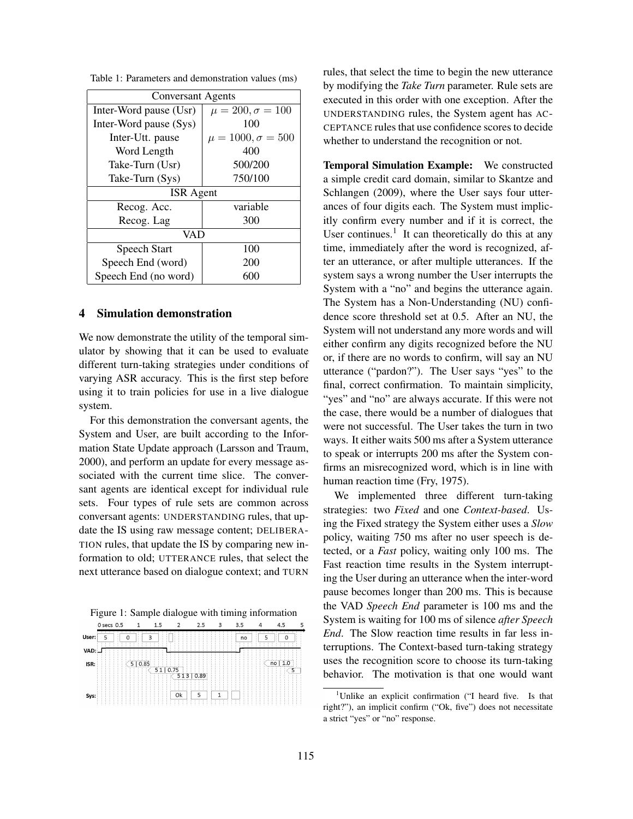| Table 1: Parameters and demonstration values (ms) |  |  |  |  |  |
|---------------------------------------------------|--|--|--|--|--|
|---------------------------------------------------|--|--|--|--|--|

| <b>Conversant Agents</b> |                            |  |  |  |  |  |  |
|--------------------------|----------------------------|--|--|--|--|--|--|
| Inter-Word pause (Usr)   | $\mu = 200, \sigma = 100$  |  |  |  |  |  |  |
| Inter-Word pause (Sys)   | 100                        |  |  |  |  |  |  |
| Inter-Utt. pause         | $\mu = 1000, \sigma = 500$ |  |  |  |  |  |  |
| Word Length              | 400                        |  |  |  |  |  |  |
| Take-Turn (Usr)          | 500/200                    |  |  |  |  |  |  |
| Take-Turn (Sys)          | 750/100                    |  |  |  |  |  |  |
| <b>ISR</b> Agent         |                            |  |  |  |  |  |  |
| Recog. Acc.              | variable                   |  |  |  |  |  |  |
| Recog. Lag               | 300                        |  |  |  |  |  |  |
| VAD                      |                            |  |  |  |  |  |  |
| Speech Start             | 100                        |  |  |  |  |  |  |
| Speech End (word)        | 200                        |  |  |  |  |  |  |
| Speech End (no word)     | 600                        |  |  |  |  |  |  |

### 4 Simulation demonstration

We now demonstrate the utility of the temporal simulator by showing that it can be used to evaluate different turn-taking strategies under conditions of varying ASR accuracy. This is the first step before using it to train policies for use in a live dialogue system.

For this demonstration the conversant agents, the System and User, are built according to the Information State Update approach (Larsson and Traum, 2000), and perform an update for every message associated with the current time slice. The conversant agents are identical except for individual rule sets. Four types of rule sets are common across conversant agents: UNDERSTANDING rules, that update the IS using raw message content; DELIBERA-TION rules, that update the IS by comparing new information to old; UTTERANCE rules, that select the next utterance based on dialogue context; and TURN

| Figure 1: Sample dialogue with timing information |  |  |  |  |  |  |
|---------------------------------------------------|--|--|--|--|--|--|
|                                                   |  |  |  |  |  |  |

|        | 0 secs 0.5       | 1         | 1.5 | $\overline{2}$ | 2.5  | 3 | 3.5     | 4                                  | 4.5               | 5 |
|--------|------------------|-----------|-----|----------------|------|---|---------|------------------------------------|-------------------|---|
| User:  | ____<br>___<br>5 | 3<br>0    |     |                |      |   | —<br>no | ╌<br>$\overline{\phantom{0}}$<br>5 | ÷                 |   |
| VAD: _ |                  |           |     |                |      |   |         |                                    |                   |   |
| ISR:   |                  | 0.85<br>5 | 51  | 0.75<br>513    | 0.89 |   |         |                                    | 1.0<br>no<br>---- |   |
| Sys:   |                  |           |     | Ok             | 5    |   |         |                                    |                   |   |

rules, that select the time to begin the new utterance by modifying the *Take Turn* parameter. Rule sets are executed in this order with one exception. After the UNDERSTANDING rules, the System agent has AC-CEPTANCE rules that use confidence scores to decide whether to understand the recognition or not.

Temporal Simulation Example: We constructed a simple credit card domain, similar to Skantze and Schlangen (2009), where the User says four utterances of four digits each. The System must implicitly confirm every number and if it is correct, the User continues. $<sup>1</sup>$  It can theoretically do this at any</sup> time, immediately after the word is recognized, after an utterance, or after multiple utterances. If the system says a wrong number the User interrupts the System with a "no" and begins the utterance again. The System has a Non-Understanding (NU) confidence score threshold set at 0.5. After an NU, the System will not understand any more words and will either confirm any digits recognized before the NU or, if there are no words to confirm, will say an NU utterance ("pardon?"). The User says "yes" to the final, correct confirmation. To maintain simplicity, "yes" and "no" are always accurate. If this were not the case, there would be a number of dialogues that were not successful. The User takes the turn in two ways. It either waits 500 ms after a System utterance to speak or interrupts 200 ms after the System confirms an misrecognized word, which is in line with human reaction time (Fry, 1975).

We implemented three different turn-taking strategies: two *Fixed* and one *Context-based*. Using the Fixed strategy the System either uses a *Slow* policy, waiting 750 ms after no user speech is detected, or a *Fast* policy, waiting only 100 ms. The Fast reaction time results in the System interrupting the User during an utterance when the inter-word pause becomes longer than 200 ms. This is because the VAD *Speech End* parameter is 100 ms and the System is waiting for 100 ms of silence *after Speech End*. The Slow reaction time results in far less interruptions. The Context-based turn-taking strategy uses the recognition score to choose its turn-taking behavior. The motivation is that one would want

<sup>&</sup>lt;sup>1</sup>Unlike an explicit confirmation ("I heard five. Is that right?"), an implicit confirm ("Ok, five") does not necessitate a strict "yes" or "no" response.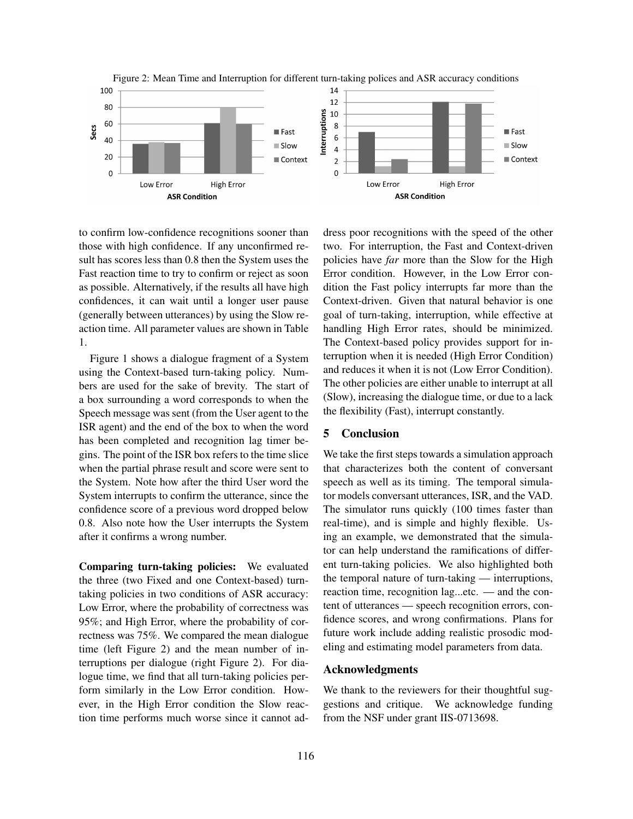



to confirm low-confidence recognitions sooner than those with high confidence. If any unconfirmed result has scores less than 0.8 then the System uses the Fast reaction time to try to confirm or reject as soon as possible. Alternatively, if the results all have high confidences, it can wait until a longer user pause (generally between utterances) by using the Slow reaction time. All parameter values are shown in Table 1.

Figure 1 shows a dialogue fragment of a System using the Context-based turn-taking policy. Numbers are used for the sake of brevity. The start of a box surrounding a word corresponds to when the Speech message was sent (from the User agent to the ISR agent) and the end of the box to when the word has been completed and recognition lag timer begins. The point of the ISR box refers to the time slice when the partial phrase result and score were sent to the System. Note how after the third User word the System interrupts to confirm the utterance, since the confidence score of a previous word dropped below 0.8. Also note how the User interrupts the System after it confirms a wrong number.

Comparing turn-taking policies: We evaluated the three (two Fixed and one Context-based) turntaking policies in two conditions of ASR accuracy: Low Error, where the probability of correctness was 95%; and High Error, where the probability of correctness was 75%. We compared the mean dialogue time (left Figure 2) and the mean number of interruptions per dialogue (right Figure 2). For dialogue time, we find that all turn-taking policies perform similarly in the Low Error condition. However, in the High Error condition the Slow reaction time performs much worse since it cannot address poor recognitions with the speed of the other two. For interruption, the Fast and Context-driven policies have *far* more than the Slow for the High Error condition. However, in the Low Error condition the Fast policy interrupts far more than the Context-driven. Given that natural behavior is one goal of turn-taking, interruption, while effective at handling High Error rates, should be minimized. The Context-based policy provides support for interruption when it is needed (High Error Condition) and reduces it when it is not (Low Error Condition). The other policies are either unable to interrupt at all (Slow), increasing the dialogue time, or due to a lack the flexibility (Fast), interrupt constantly.

# 5 Conclusion

We take the first steps towards a simulation approach that characterizes both the content of conversant speech as well as its timing. The temporal simulator models conversant utterances, ISR, and the VAD. The simulator runs quickly (100 times faster than real-time), and is simple and highly flexible. Using an example, we demonstrated that the simulator can help understand the ramifications of different turn-taking policies. We also highlighted both the temporal nature of turn-taking — interruptions, reaction time, recognition lag...etc. — and the content of utterances — speech recognition errors, confidence scores, and wrong confirmations. Plans for future work include adding realistic prosodic modeling and estimating model parameters from data.

#### Acknowledgments

We thank to the reviewers for their thoughtful suggestions and critique. We acknowledge funding from the NSF under grant IIS-0713698.